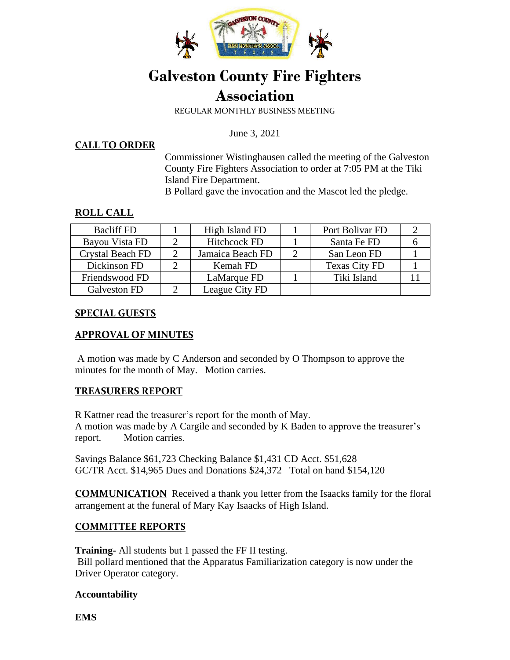

# **Galveston County Fire Fighters Association**

REGULAR MONTHLY BUSINESS MEETING

June 3, 2021

#### **CALL TO ORDER**

Commissioner Wistinghausen called the meeting of the Galveston County Fire Fighters Association to order at 7:05 PM at the Tiki Island Fire Department.

B Pollard gave the invocation and the Mascot led the pledge.

#### **ROLL CALL**

| <b>Bacliff FD</b> | High Island FD      | Port Bolivar FD      |  |
|-------------------|---------------------|----------------------|--|
| Bayou Vista FD    | <b>Hitchcock FD</b> | Santa Fe FD          |  |
| Crystal Beach FD  | Jamaica Beach FD    | San Leon FD          |  |
| Dickinson FD      | Kemah FD            | <b>Texas City FD</b> |  |
| Friendswood FD    | LaMarque FD         | Tiki Island          |  |
| Galveston FD      | League City FD      |                      |  |

#### **SPECIAL GUESTS**

#### **APPROVAL OF MINUTES**

A motion was made by C Anderson and seconded by O Thompson to approve the minutes for the month of May. Motion carries.

#### **TREASURERS REPORT**

R Kattner read the treasurer's report for the month of May. A motion was made by A Cargile and seconded by K Baden to approve the treasurer's report. Motion carries.

Savings Balance \$61,723 Checking Balance \$1,431 CD Acct. \$51,628 GC/TR Acct. \$14,965 Dues and Donations \$24,372 Total on hand \$154,120

**COMMUNICATION** Received a thank you letter from the Isaacks family for the floral arrangement at the funeral of Mary Kay Isaacks of High Island.

## **COMMITTEE REPORTS**

**Training-** All students but 1 passed the FF II testing. Bill pollard mentioned that the Apparatus Familiarization category is now under the Driver Operator category.

#### **Accountability**

**EMS**